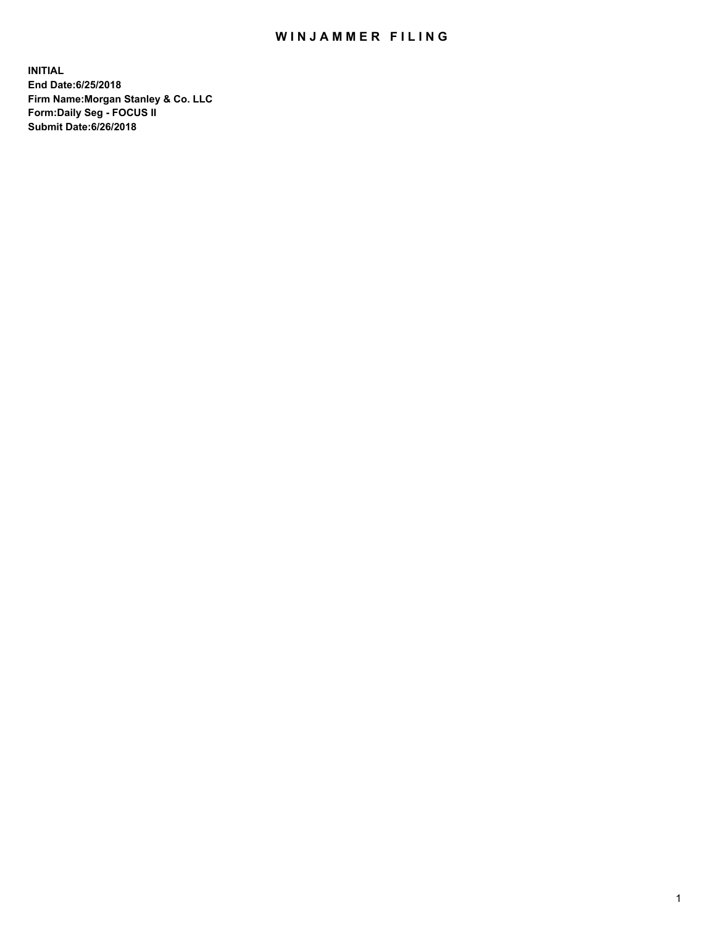## WIN JAMMER FILING

**INITIAL End Date:6/25/2018 Firm Name:Morgan Stanley & Co. LLC Form:Daily Seg - FOCUS II Submit Date:6/26/2018**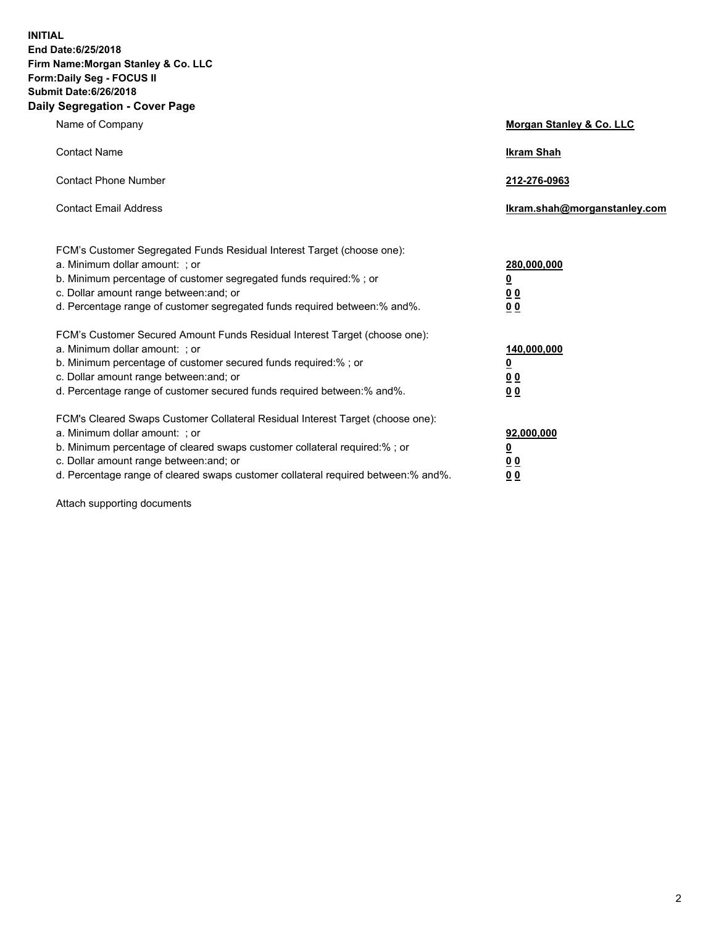**INITIAL End Date:6/25/2018 Firm Name:Morgan Stanley & Co. LLC Form:Daily Seg - FOCUS II Submit Date:6/26/2018 Daily Segregation - Cover Page**

| Name of Company                                                                                                                                                                                                                                                                                                                | Morgan Stanley & Co. LLC                                    |
|--------------------------------------------------------------------------------------------------------------------------------------------------------------------------------------------------------------------------------------------------------------------------------------------------------------------------------|-------------------------------------------------------------|
| <b>Contact Name</b>                                                                                                                                                                                                                                                                                                            | <b>Ikram Shah</b>                                           |
| <b>Contact Phone Number</b>                                                                                                                                                                                                                                                                                                    | 212-276-0963                                                |
| <b>Contact Email Address</b>                                                                                                                                                                                                                                                                                                   | lkram.shah@morganstanley.com                                |
| FCM's Customer Segregated Funds Residual Interest Target (choose one):<br>a. Minimum dollar amount: ; or<br>b. Minimum percentage of customer segregated funds required:% ; or<br>c. Dollar amount range between: and; or<br>d. Percentage range of customer segregated funds required between: % and %.                       | 280,000,000<br><u>0</u><br>00<br>0 <sub>0</sub>             |
| FCM's Customer Secured Amount Funds Residual Interest Target (choose one):<br>a. Minimum dollar amount: ; or<br>b. Minimum percentage of customer secured funds required:% ; or<br>c. Dollar amount range between: and; or<br>d. Percentage range of customer secured funds required between:% and%.                           | 140,000,000<br><u>0</u><br>0 <sub>0</sub><br>0 <sub>0</sub> |
| FCM's Cleared Swaps Customer Collateral Residual Interest Target (choose one):<br>a. Minimum dollar amount: ; or<br>b. Minimum percentage of cleared swaps customer collateral required:% ; or<br>c. Dollar amount range between: and; or<br>d. Percentage range of cleared swaps customer collateral required between:% and%. | 92,000,000<br><u>0</u><br><u>00</u><br>0 <sup>0</sup>       |

Attach supporting documents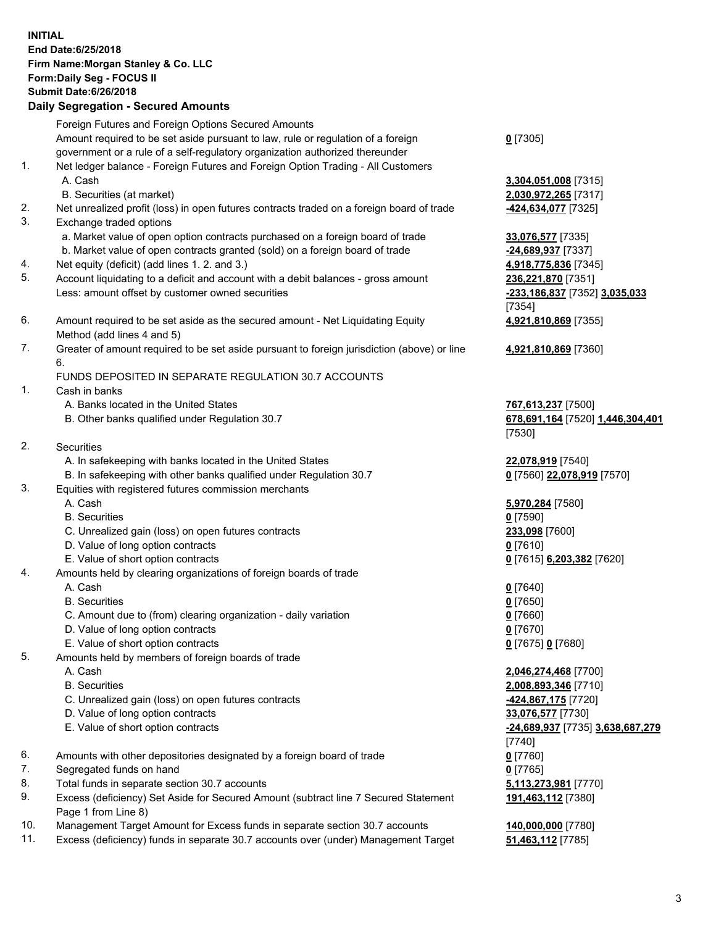## **INITIAL End Date:6/25/2018 Firm Name:Morgan Stanley & Co. LLC Form:Daily Seg - FOCUS II Submit Date:6/26/2018 Daily Segregation - Secured Amounts** Foreign Futures and Foreign Options Secured Amounts Amount required to be set aside pursuant to law, rule or regulation of a foreign government or a rule of a self-regulatory organization authorized thereunder 1. Net ledger balance - Foreign Futures and Foreign Option Trading - All Customers A. Cash **3,304,051,008** [7315] B. Securities (at market) **2,030,972,265** [7317] 2. Net unrealized profit (loss) in open futures contracts traded on a foreign board of trade **-424,634,077** [7325] 3. Exchange traded options a. Market value of open option contracts purchased on a foreign board of trade **33,076,577** [7335] b. Market value of open contracts granted (sold) on a foreign board of trade **-24,689,937** [7337] 4. Net equity (deficit) (add lines 1. 2. and 3.) **4,918,775,836** [7345] 5. Account liquidating to a deficit and account with a debit balances - gross amount **236,221,870** [7351] Less: amount offset by customer owned securities **-233,186,837** [7352] **3,035,033** 6. Amount required to be set aside as the secured amount - Net Liquidating Equity Method (add lines 4 and 5) 7. Greater of amount required to be set aside pursuant to foreign jurisdiction (above) or line 6. FUNDS DEPOSITED IN SEPARATE REGULATION 30.7 ACCOUNTS

- 1. Cash in banks
	- A. Banks located in the United States **767,613,237** [7500]
	- B. Other banks qualified under Regulation 30.7 **678,691,164** [7520] **1,446,304,401**
- 2. Securities
	- A. In safekeeping with banks located in the United States **22,078,919** [7540]
	- B. In safekeeping with other banks qualified under Regulation 30.7 **0** [7560] **22,078,919** [7570]
- 3. Equities with registered futures commission merchants
	-
	- B. Securities **0** [7590]
	- C. Unrealized gain (loss) on open futures contracts **233,098** [7600]
	- D. Value of long option contracts **0** [7610]
- E. Value of short option contracts **0** [7615] **6,203,382** [7620]
- 4. Amounts held by clearing organizations of foreign boards of trade
	- A. Cash **0** [7640]
	- B. Securities **0** [7650]
	- C. Amount due to (from) clearing organization daily variation **0** [7660]
	- D. Value of long option contracts **0** [7670]
	- E. Value of short option contracts **0** [7675] **0** [7680]
- 5. Amounts held by members of foreign boards of trade
	-
	-
	- C. Unrealized gain (loss) on open futures contracts **-424,867,175** [7720]
	- D. Value of long option contracts **33,076,577** [7730]
	- E. Value of short option contracts **-24,689,937** [7735] **3,638,687,279**
- 6. Amounts with other depositories designated by a foreign board of trade **0** [7760]
- 7. Segregated funds on hand **0** [7765]
- 8. Total funds in separate section 30.7 accounts **5,113,273,981** [7770]
- 9. Excess (deficiency) Set Aside for Secured Amount (subtract line 7 Secured Statement Page 1 from Line 8)
- 10. Management Target Amount for Excess funds in separate section 30.7 accounts **140,000,000** [7780]
- 11. Excess (deficiency) funds in separate 30.7 accounts over (under) Management Target **51,463,112** [7785]

**0** [7305]

[7354] **4,921,810,869** [7355]

**4,921,810,869** [7360]

[7530]

A. Cash **5,970,284** [7580]

 A. Cash **2,046,274,468** [7700] B. Securities **2,008,893,346** [7710] [7740] **191,463,112** [7380]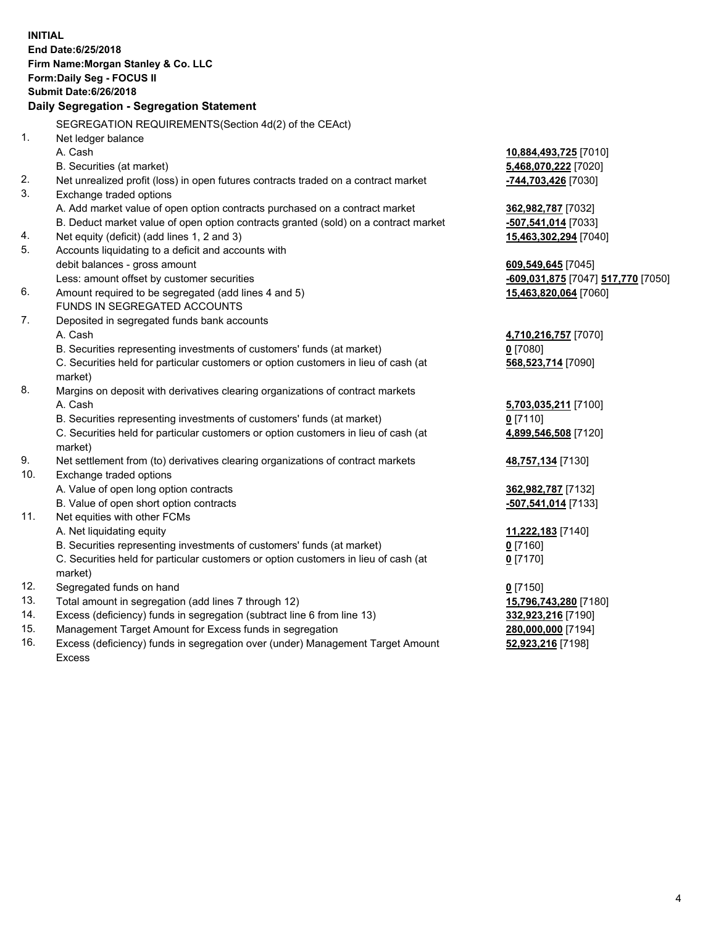**INITIAL End Date:6/25/2018 Firm Name:Morgan Stanley & Co. LLC Form:Daily Seg - FOCUS II Submit Date:6/26/2018 Daily Segregation - Segregation Statement** SEGREGATION REQUIREMENTS(Section 4d(2) of the CEAct) 1. Net ledger balance A. Cash **10,884,493,725** [7010] B. Securities (at market) **5,468,070,222** [7020] 2. Net unrealized profit (loss) in open futures contracts traded on a contract market **-744,703,426** [7030] 3. Exchange traded options A. Add market value of open option contracts purchased on a contract market **362,982,787** [7032] B. Deduct market value of open option contracts granted (sold) on a contract market **-507,541,014** [7033] 4. Net equity (deficit) (add lines 1, 2 and 3) **15,463,302,294** [7040] 5. Accounts liquidating to a deficit and accounts with debit balances - gross amount **609,549,645** [7045] Less: amount offset by customer securities **-609,031,875** [7047] **517,770** [7050] 6. Amount required to be segregated (add lines 4 and 5) **15,463,820,064** [7060] FUNDS IN SEGREGATED ACCOUNTS 7. Deposited in segregated funds bank accounts A. Cash **4,710,216,757** [7070] B. Securities representing investments of customers' funds (at market) **0** [7080] C. Securities held for particular customers or option customers in lieu of cash (at market) **568,523,714** [7090] 8. Margins on deposit with derivatives clearing organizations of contract markets A. Cash **5,703,035,211** [7100] B. Securities representing investments of customers' funds (at market) **0** [7110] C. Securities held for particular customers or option customers in lieu of cash (at market) **4,899,546,508** [7120] 9. Net settlement from (to) derivatives clearing organizations of contract markets **48,757,134** [7130] 10. Exchange traded options A. Value of open long option contracts **362,982,787** [7132] B. Value of open short option contracts **-507,541,014** [7133] 11. Net equities with other FCMs A. Net liquidating equity **11,222,183** [7140] B. Securities representing investments of customers' funds (at market) **0** [7160] C. Securities held for particular customers or option customers in lieu of cash (at market) **0** [7170] 12. Segregated funds on hand **0** [7150] 13. Total amount in segregation (add lines 7 through 12) **15,796,743,280** [7180] 14. Excess (deficiency) funds in segregation (subtract line 6 from line 13) **332,923,216** [7190] 15. Management Target Amount for Excess funds in segregation **280,000,000** [7194] 16. Excess (deficiency) funds in segregation over (under) Management Target Amount **52,923,216** [7198]

Excess